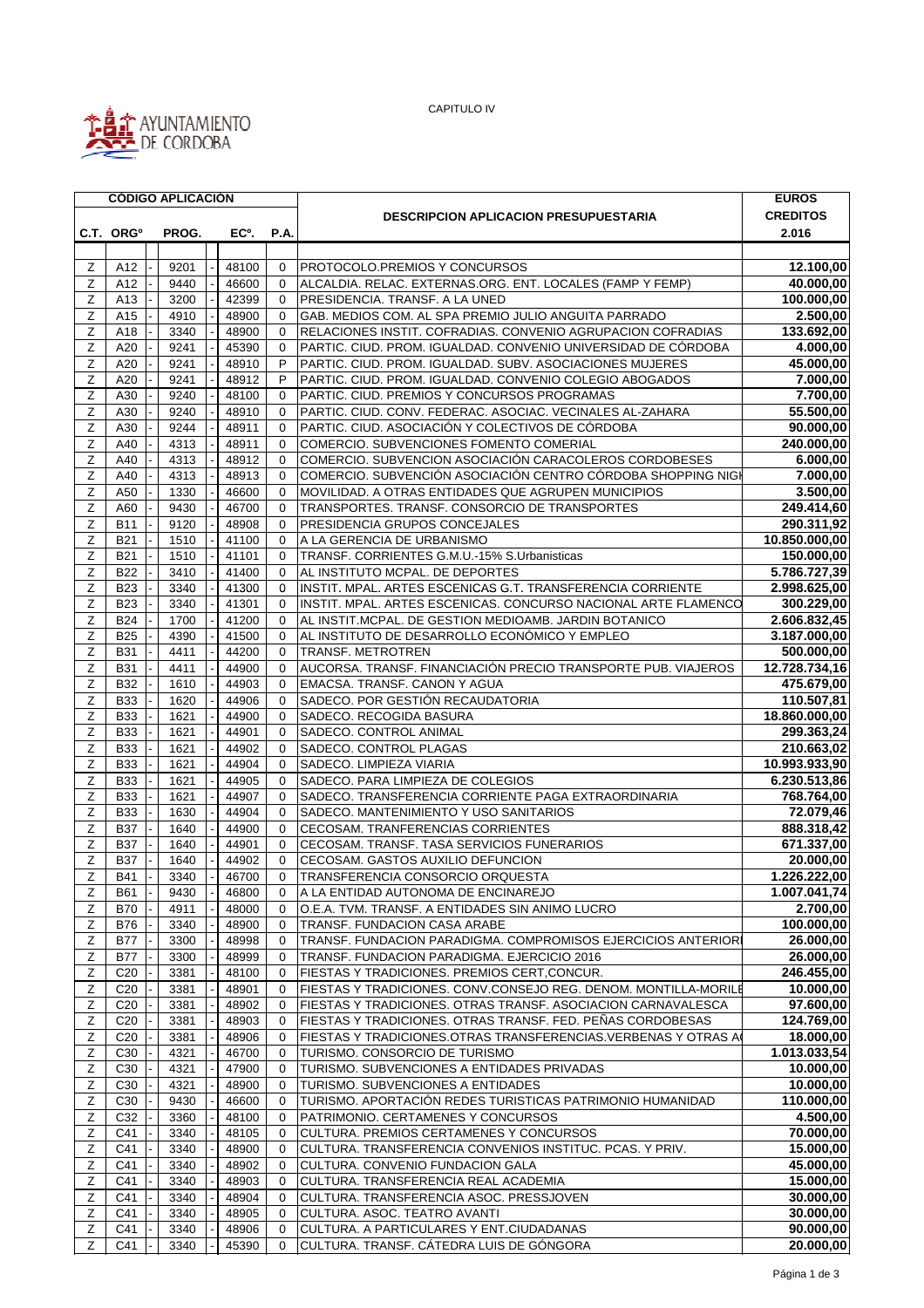

CAPITULO IV

|                |                       | <b>CÓDIGO APLICACIÓN</b> |                   |                      |                                                                                                                     | <b>EUROS</b>            |
|----------------|-----------------------|--------------------------|-------------------|----------------------|---------------------------------------------------------------------------------------------------------------------|-------------------------|
|                |                       |                          |                   |                      | <b>DESCRIPCION APLICACION PRESUPUESTARIA</b>                                                                        | <b>CREDITOS</b>         |
|                | C.T. ORG <sup>o</sup> | PROG.                    | EC <sup>o</sup> . | P.A.                 |                                                                                                                     | 2.016                   |
|                |                       |                          |                   |                      |                                                                                                                     |                         |
| Ζ              | A12                   | 9201                     | 48100             | 0                    | PROTOCOLO.PREMIOS Y CONCURSOS                                                                                       | 12.100,00               |
| Z              | A12                   | 9440                     | 46600             | $\mathbf 0$          | ALCALDIA. RELAC. EXTERNAS.ORG. ENT. LOCALES (FAMP Y FEMP)                                                           | 40.000,00<br>100.000,00 |
| Ζ<br>Z         | A13<br>A15            | 3200                     | 42399             | $\Omega$             | PRESIDENCIA. TRANSF. A LA UNED                                                                                      |                         |
| Z              | A18                   | 4910<br>3340             | 48900<br>48900    | $\Omega$<br>$\Omega$ | GAB. MEDIOS COM. AL SPA PREMIO JULIO ANGUITA PARRADO<br>RELACIONES INSTIT. COFRADIAS. CONVENIO AGRUPACION COFRADIAS | 2.500,00<br>133.692,00  |
| Ζ              | A20                   | 9241                     | 45390             | $\mathbf 0$          | PARTIC. CIUD. PROM. IGUALDAD. CONVENIO UNIVERSIDAD DE CÓRDOBA                                                       | 4.000,00                |
| Z              | A20                   | 9241                     | 48910             | P                    | PARTIC. CIUD. PROM. IGUALDAD. SUBV. ASOCIACIONES MUJERES                                                            | 45.000,00               |
| Z              | A20                   | 9241                     | 48912             | P                    | PARTIC. CIUD. PROM. IGUALDAD. CONVENIO COLEGIO ABOGADOS                                                             | 7.000,00                |
| Z              | A30                   | 9240                     | 48100             | $\mathbf 0$          | PARTIC. CIUD. PREMIOS Y CONCURSOS PROGRAMAS                                                                         | 7.700,00                |
| Ζ              | A30                   | 9240                     | 48910             | $\Omega$             | PARTIC. CIUD. CONV. FEDERAC. ASOCIAC. VECINALES AL-ZAHARA                                                           | 55.500,00               |
| Z              | A30                   | 9244                     | 48911             | $\mathbf 0$          | PARTIC. CIUD. ASOCIACIÓN Y COLECTIVOS DE CÓRDOBA                                                                    | 90.000,00               |
| $\overline{z}$ | A40                   | 4313                     | 48911             | $\Omega$             | COMERCIO. SUBVENCIONES FOMENTO COMERIAL                                                                             | 240.000,00              |
| Z              | A40                   | 4313                     | 48912             | $\mathbf 0$          | COMERCIO. SUBVENCION ASOCIACIÓN CARACOLEROS CORDOBESES                                                              | 6.000,00                |
| Z              | A40                   | 4313                     | 48913             | 0                    | COMERCIO. SUBVENCIÓN ASOCIACIÓN CENTRO CÓRDOBA SHOPPING NIGI                                                        | 7.000,00                |
| Z              | A50                   | 1330                     | 46600             | $\mathbf 0$          | MOVILIDAD. A OTRAS ENTIDADES QUE AGRUPEN MUNICIPIOS                                                                 | 3.500,00                |
| Z              | A60                   | 9430                     | 46700             | $\mathbf 0$          | TRANSPORTES, TRANSF, CONSORCIO DE TRANSPORTES                                                                       | 249.414,60              |
| Ζ              | <b>B11</b>            | 9120                     | 48908             | $\Omega$             | PRESIDENCIA GRUPOS CONCEJALES                                                                                       | 290.311,92              |
| Z              | <b>B21</b>            | 1510                     | 41100             | $\mathbf 0$          | A LA GERENCIA DE URBANISMO                                                                                          | 10.850.000,00           |
| Z              | <b>B21</b>            | 1510                     | 41101             | $\mathbf 0$          | TRANSF. CORRIENTES G.M.U.-15% S.Urbanisticas                                                                        | 150.000,00              |
| Z              | <b>B22</b>            | 3410                     | 41400             | $\Omega$             | AL INSTITUTO MCPAL. DE DEPORTES                                                                                     | 5.786.727,39            |
| z              | <b>B23</b>            | 3340                     | 41300             | 0                    | IINSTIT. MPAL. ARTES ESCENICAS G.T. TRANSFERENCIA CORRIENTE                                                         | 2.998.625,00            |
| Ζ              | <b>B23</b>            | 3340                     | 41301             | $\mathbf 0$          | INSTIT. MPAL. ARTES ESCENICAS. CONCURSO NACIONAL ARTE FLAMENCO                                                      | 300.229,00              |
| Z              | <b>B24</b>            | 1700                     | 41200             | $\mathbf 0$          | AL INSTIT.MCPAL. DE GESTION MEDIOAMB. JARDIN BOTANICO                                                               | 2.606.832,45            |
| $\overline{z}$ | <b>B25</b>            | 4390                     | 41500             | $\Omega$             | AL INSTITUTO DE DESARROLLO ECONÓMICO Y EMPLEO                                                                       | 3.187.000,00            |
| Z              | <b>B31</b>            | 4411                     | 44200             | $\mathbf 0$          | <b>TRANSF. METROTREN</b>                                                                                            | 500.000,00              |
| Z              | <b>B31</b>            | 4411                     | 44900             | $\mathbf 0$          | AUCORSA. TRANSF. FINANCIACIÓN PRECIO TRANSPORTE PUB. VIAJEROS                                                       | 12.728.734,16           |
| $\mathsf Z$    | <b>B32</b>            | 1610                     | 44903             | $\mathbf 0$          | EMACSA. TRANSF. CANON Y AGUA                                                                                        | 475.679,00              |
| Ζ              | <b>B33</b>            | 1620                     | 44906             | $\Omega$             | SADECO. POR GESTIÓN RECAUDATORIA                                                                                    | 110.507,81              |
| Ζ              | <b>B33</b>            | 1621                     | 44900             | $\mathbf 0$          | SADECO. RECOGIDA BASURA                                                                                             | 18.860.000,00           |
| Z              | <b>B33</b>            | 1621                     | 44901             | $\mathbf 0$          | SADECO. CONTROL ANIMAL                                                                                              | 299.363,24              |
| Ζ              | <b>B33</b>            | 1621                     | 44902             | $\mathbf 0$          | SADECO. CONTROL PLAGAS                                                                                              | 210.663,02              |
| Ζ              | <b>B33</b>            | 1621                     | 44904             | $\mathbf 0$          | SADECO. LIMPIEZA VIARIA                                                                                             | 10.993.933,90           |
| Z              | <b>B33</b>            | 1621                     | 44905             | $\mathbf 0$          | SADECO. PARA LIMPIEZA DE COLEGIOS                                                                                   | 6.230.513,86            |
| Z              | <b>B33</b>            | 1621                     | 44907             | $\mathbf 0$          | SADECO. TRANSFERENCIA CORRIENTE PAGA EXTRAORDINARIA                                                                 | 768.764,00              |
| Ζ              | <b>B33</b>            | 1630                     | 44904             | $\Omega$             | SADECO, MANTENIMIENTO Y USO SANITARIOS                                                                              | 72.079,46               |
| $\mathsf Z$    | <b>B37</b>            | 1640                     | 44900             | $\mathbf 0$          | CECOSAM. TRANFERENCIAS CORRIENTES                                                                                   | 888.318,42              |
| Ζ              | <b>B37</b>            | 1640                     | 44901             | $\Omega$             | CECOSAM. TRANSF. TASA SERVICIOS FUNERARIOS                                                                          | 671.337,00              |
| Z              | <b>B37</b>            | 1640                     | 44902             | $\Omega$             | CECOSAM. GASTOS AUXILIO DEFUNCION                                                                                   | 20.000,00               |
| Z              | B41                   | 3340                     | 46700             | $\Omega$             | TRANSFERENCIA CONSORCIO ORQUESTA                                                                                    | 1.226.222,00            |
| Ζ              | <b>B61</b>            | 9430                     | 46800             | 0                    | A LA ENTIDAD AUTONOMA DE ENCINAREJO                                                                                 | 1.007.041,74            |
| Z              | <b>B70</b>            | 4911                     | 48000             | $\mathbf 0$          | O.E.A. TVM. TRANSF. A ENTIDADES SIN ANIMO LUCRO                                                                     | 2.700,00                |
| Ζ              | <b>B76</b>            | 3340                     | 48900             | $\mathbf 0$          | TRANSF. FUNDACION CASA ARABE                                                                                        | 100.000,00              |
| Ζ              | <b>B77</b>            | 3300                     | 48998             | 0                    | TRANSF. FUNDACION PARADIGMA. COMPROMISOS EJERCICIOS ANTERIOR                                                        | 26.000,00               |
| $\overline{z}$ | <b>B77</b>            | 3300                     | 48999             | $\mathbf 0$          | TRANSF. FUNDACION PARADIGMA. EJERCICIO 2016                                                                         | 26.000,00               |
| $\overline{z}$ | C <sub>20</sub>       | 3381                     | 48100             | $\mathbf 0$          | FIESTAS Y TRADICIONES. PREMIOS CERT, CONCUR.                                                                        | 246.455,00              |
| Z              | C <sub>20</sub>       | 3381                     | 48901             | 0                    | FIESTAS Y TRADICIONES. CONV.CONSEJO REG. DENOM. MONTILLA-MORILE                                                     | 10.000,00               |
| Ζ              | C <sub>20</sub>       | 3381                     | 48902             | 0                    | FIESTAS Y TRADICIONES. OTRAS TRANSF. ASOCIACION CARNAVALESCA                                                        | 97.600,00               |
| Ζ              | C <sub>20</sub>       | 3381                     | 48903             | 0                    | FIESTAS Y TRADICIONES. OTRAS TRANSF. FED. PEÑAS CORDOBESAS                                                          | 124.769,00              |
| Ζ              | C <sub>20</sub>       | 3381                     | 48906             | $\mathbf 0$          | FIESTAS Y TRADICIONES.OTRAS TRANSFERENCIAS.VERBENAS Y OTRAS A                                                       | 18.000,00               |
| $\mathsf Z$    | C <sub>30</sub>       | 4321                     | 46700             | 0                    | TURISMO. CONSORCIO DE TURISMO                                                                                       | 1.013.033,54            |
| Ζ              | C <sub>30</sub>       | 4321                     | 47900             | $\mathbf 0$          | TURISMO. SUBVENCIONES A ENTIDADES PRIVADAS                                                                          | 10.000,00               |
| Ζ              | C <sub>30</sub>       | 4321                     | 48900             | $\mathbf 0$          | TURISMO. SUBVENCIONES A ENTIDADES                                                                                   | 10.000,00               |
| z              | C <sub>30</sub>       | 9430                     | 46600             | $\Omega$             | TURISMO. APORTACIÓN REDES TURISTICAS PATRIMONIO HUMANIDAD                                                           | 110.000,00              |
| Ζ              | C32                   | 3360                     | 48100             | $\mathbf 0$          | PATRIMONIO. CERTAMENES Y CONCURSOS                                                                                  | 4.500,00                |
| Ζ              | C41                   | 3340                     | 48105             | 0                    | CULTURA. PREMIOS CERTAMENES Y CONCURSOS                                                                             | 70.000,00               |
| Ζ              | C41                   | 3340                     | 48900             | $\mathbf 0$          | CULTURA. TRANSFERENCIA CONVENIOS INSTITUC. PCAS. Y PRIV.                                                            | 15.000,00               |
| Ζ              | C41                   | 3340                     | 48902             | $\mathbf 0$          | CULTURA. CONVENIO FUNDACION GALA                                                                                    | 45.000,00               |
| $\overline{z}$ | C41                   | 3340                     | 48903             | 0                    | CULTURA. TRANSFERENCIA REAL ACADEMIA                                                                                | 15.000,00               |
| Ζ              | C41                   | 3340                     | 48904             | 0                    | CULTURA. TRANSFERENCIA ASOC. PRESSJOVEN                                                                             | 30.000,00               |
| Z              | C41                   | 3340                     | 48905             | $\mathbf 0$          | CULTURA. ASOC. TEATRO AVANTI                                                                                        | 30.000,00               |
| Ζ              | C41                   | 3340                     | 48906             | 0                    | CULTURA. A PARTICULARES Y ENT.CIUDADANAS                                                                            | 90.000,00               |
| Z              | C41                   | 3340                     | 45390             | $\Omega$             | CULTURA. TRANSF. CÁTEDRA LUIS DE GÓNGORA                                                                            | 20.000,00               |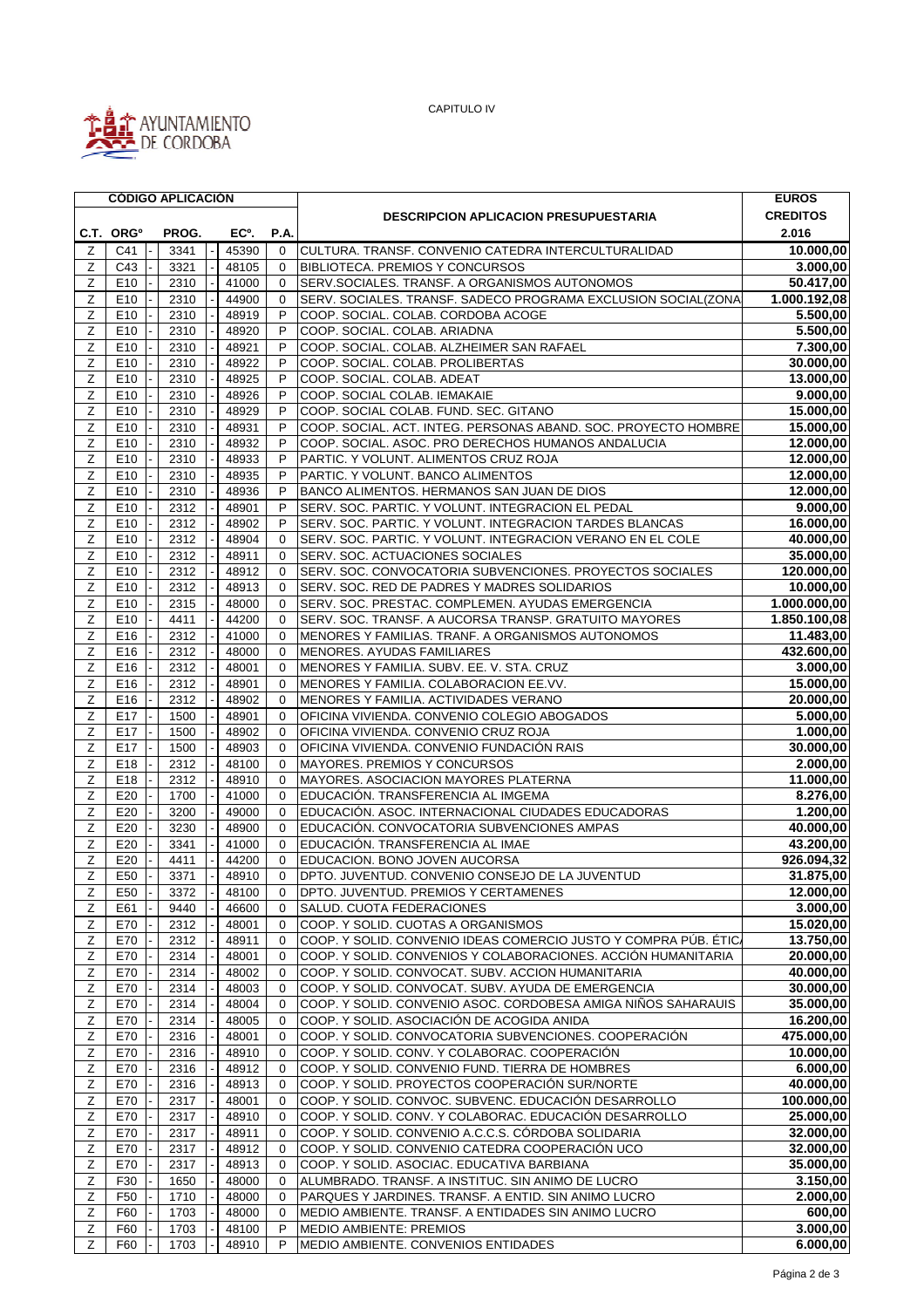

CAPITULO IV

|                |                       |  | <b>CÓDIGO APLICACIÓN</b> |  |       |             |                                                                                                        | <b>EUROS</b>    |
|----------------|-----------------------|--|--------------------------|--|-------|-------------|--------------------------------------------------------------------------------------------------------|-----------------|
|                |                       |  |                          |  |       |             | <b>DESCRIPCION APLICACION PRESUPUESTARIA</b>                                                           | <b>CREDITOS</b> |
|                | C.T. ORG <sup>o</sup> |  | PROG.                    |  | EC°.  | P.A.        |                                                                                                        | 2.016           |
| Ζ              | C41                   |  | 3341                     |  | 45390 | $\Omega$    | CULTURA. TRANSF. CONVENIO CATEDRA INTERCULTURALIDAD                                                    | 10.000,00       |
| Ζ              | C43                   |  | 3321                     |  | 48105 | $\Omega$    | <b>BIBLIOTECA. PREMIOS Y CONCURSOS</b>                                                                 | 3.000,00        |
| $\mathsf Z$    | E10                   |  | 2310                     |  | 41000 | $\mathbf 0$ | SERV.SOCIALES. TRANSF. A ORGANISMOS AUTONOMOS                                                          | 50.417,00       |
|                |                       |  |                          |  |       | $\Omega$    | SERV. SOCIALES. TRANSF. SADECO PROGRAMA EXCLUSION SOCIAL(ZONA                                          |                 |
| Ζ              | E <sub>10</sub>       |  | 2310                     |  | 44900 |             |                                                                                                        | 1.000.192,08    |
| Ζ              | E10                   |  | 2310                     |  | 48919 | P           | COOP. SOCIAL. COLAB. CORDOBA ACOGE                                                                     | 5.500,00        |
| Z              | E10                   |  | 2310                     |  | 48920 | P           | COOP. SOCIAL. COLAB. ARIADNA                                                                           | 5.500,00        |
| Ζ              | E10                   |  | 2310                     |  | 48921 | P           | COOP. SOCIAL. COLAB. ALZHEIMER SAN RAFAEL                                                              | 7.300,00        |
| Ζ              | E10                   |  | 2310                     |  | 48922 | P           | COOP. SOCIAL. COLAB. PROLIBERTAS                                                                       | 30.000,00       |
| Ζ              | E10                   |  | 2310                     |  | 48925 | P           | COOP. SOCIAL. COLAB. ADEAT                                                                             | 13.000,00       |
| $\overline{z}$ | E <sub>10</sub>       |  | 2310                     |  | 48926 | P           | COOP. SOCIAL COLAB. IEMAKAIE                                                                           | 9.000,00        |
| Ζ              | E10                   |  | 2310                     |  | 48929 | P           | COOP. SOCIAL COLAB. FUND. SEC. GITANO                                                                  | 15.000,00       |
| Ζ              | E10                   |  | 2310                     |  | 48931 | P           | COOP. SOCIAL. ACT. INTEG. PERSONAS ABAND. SOC. PROYECTO HOMBRE                                         | 15.000,00       |
| Ζ              | E10                   |  | 2310                     |  | 48932 | P           | COOP. SOCIAL. ASOC. PRO DERECHOS HUMANOS ANDALUCIA                                                     | 12.000,00       |
| Ζ              | E10                   |  | 2310                     |  | 48933 | P           | PARTIC. Y VOLUNT. ALIMENTOS CRUZ ROJA                                                                  | 12.000,00       |
| Z              | E10                   |  | 2310                     |  | 48935 | P           | PARTIC. Y VOLUNT. BANCO ALIMENTOS                                                                      | 12.000,00       |
| Ζ              | E10                   |  | 2310                     |  | 48936 | P           | BANCO ALIMENTOS. HERMANOS SAN JUAN DE DIOS                                                             | 12.000,00       |
| Ζ              | E10                   |  | 2312                     |  | 48901 | P           | SERV. SOC. PARTIC. Y VOLUNT. INTEGRACION EL PEDAL                                                      | 9.000,00        |
| Z              | E10                   |  | 2312                     |  | 48902 | P           | SERV. SOC. PARTIC. Y VOLUNT. INTEGRACION TARDES BLANCAS                                                | 16.000,00       |
| Ζ              | E10                   |  | 2312                     |  | 48904 | $\Omega$    | SERV. SOC. PARTIC. Y VOLUNT. INTEGRACION VERANO EN EL COLE                                             | 40.000,00       |
| Ζ              | E10                   |  | 2312                     |  | 48911 | $\Omega$    | <b>SERV. SOC. ACTUACIONES SOCIALES</b>                                                                 | 35.000,00       |
| Ζ              | E10                   |  | 2312                     |  | 48912 | $\mathbf 0$ | SERV. SOC. CONVOCATORIA SUBVENCIONES. PROYECTOS SOCIALES                                               | 120.000,00      |
| Z              | E10                   |  | 2312                     |  | 48913 | 0           | SERV. SOC. RED DE PADRES Y MADRES SOLIDARIOS                                                           | 10.000,00       |
| Ζ              | E10                   |  | 2315                     |  | 48000 | $\mathbf 0$ | SERV. SOC. PRESTAC. COMPLEMEN. AYUDAS EMERGENCIA                                                       | 1.000.000,00    |
| Z              | E10                   |  | 4411                     |  | 44200 | $\mathbf 0$ | SERV. SOC. TRANSF. A AUCORSA TRANSP. GRATUITO MAYORES                                                  | 1.850.100,08    |
| Z              | E16                   |  | 2312                     |  | 41000 | $\Omega$    | MENORES Y FAMILIAS. TRANF. A ORGANISMOS AUTONOMOS                                                      | 11.483,00       |
| Z              | E16                   |  | 2312                     |  | 48000 | $\Omega$    | MENORES. AYUDAS FAMILIARES                                                                             | 432.600,00      |
| Ζ              | E16                   |  | 2312                     |  | 48001 | $\Omega$    | MENORES Y FAMILIA. SUBV. EE. V. STA. CRUZ                                                              | 3.000,00        |
| Ζ              | E16                   |  | 2312                     |  | 48901 | $\mathbf 0$ | MENORES Y FAMILIA. COLABORACION EE.VV.                                                                 | 15.000,00       |
| Ζ              | E16                   |  | 2312                     |  | 48902 | $\mathbf 0$ | MENORES Y FAMILIA. ACTIVIDADES VERANO                                                                  | 20.000,00       |
| Ζ              | E17                   |  | 1500                     |  | 48901 | $\mathbf 0$ | OFICINA VIVIENDA. CONVENIO COLEGIO ABOGADOS                                                            | 5.000,00        |
| Ζ              | E17                   |  | 1500                     |  | 48902 | $\mathbf 0$ | OFICINA VIVIENDA. CONVENIO CRUZ ROJA                                                                   | 1.000,00        |
| Ζ              | E17                   |  | 1500                     |  | 48903 | $\mathbf 0$ | OFICINA VIVIENDA. CONVENIO FUNDACIÓN RAIS                                                              | 30.000,00       |
| Ζ              | E18                   |  | 2312                     |  | 48100 | $\Omega$    | MAYORES. PREMIOS Y CONCURSOS                                                                           | 2.000,00        |
| Z              | E18                   |  | 2312                     |  | 48910 | $\Omega$    | MAYORES. ASOCIACION MAYORES PLATERNA                                                                   | 11.000,00       |
| Ζ              | E20                   |  | 1700                     |  | 41000 | $\mathbf 0$ | EDUCACIÓN. TRANSFERENCIA AL IMGEMA                                                                     | 8.276,00        |
| Ζ              | E20                   |  | 3200                     |  | 49000 | $\Omega$    | EDUCACIÓN. ASOC. INTERNACIONAL CIUDADES EDUCADORAS                                                     | 1.200,00        |
| Ζ              | E20                   |  | 3230                     |  | 48900 | $\Omega$    | EDUCACIÓN. CONVOCATORIA SUBVENCIONES AMPAS                                                             | 40.000,00       |
| Ζ              | E20                   |  | 3341                     |  | 41000 | $\mathbf 0$ | EDUCACIÓN. TRANSFERENCIA AL IMAE                                                                       | 43.200,00       |
| Ζ              |                       |  |                          |  | 44200 | $\mathbf 0$ | EDUCACION. BONO JOVEN AUCORSA                                                                          | 926.094,32      |
| Ζ              | E20<br>E50            |  | 4411<br>3371             |  | 48910 | $\Omega$    | DPTO. JUVENTUD. CONVENIO CONSEJO DE LA JUVENTUD                                                        | 31.875,00       |
|                |                       |  |                          |  |       |             | DPTO. JUVENTUD. PREMIOS Y CERTAMENES                                                                   |                 |
| Ζ              | E50                   |  | 3372                     |  | 48100 | 0           | SALUD. CUOTA FEDERACIONES                                                                              | 12.000,00       |
| Ζ              | E61                   |  | 9440                     |  | 46600 | $\mathbf 0$ |                                                                                                        | 3.000,00        |
| Ζ              | E70                   |  | 2312                     |  | 48001 | $\mathbf 0$ | COOP. Y SOLID. CUOTAS A ORGANISMOS<br>COOP. Y SOLID. CONVENIO IDEAS COMERCIO JUSTO Y COMPRA PÚB. ÉTIC. | 15.020,00       |
| Ζ              | E70                   |  | 2312                     |  | 48911 | $\mathbf 0$ |                                                                                                        | 13.750,00       |
| Ζ              | E70                   |  | 2314                     |  | 48001 | $\Omega$    | COOP. Y SOLID. CONVENIOS Y COLABORACIONES. ACCIÓN HUMANITARIA                                          | 20.000,00       |
| Z              | E70                   |  | 2314                     |  | 48002 | $\mathbf 0$ | COOP. Y SOLID. CONVOCAT. SUBV. ACCION HUMANITARIA                                                      | 40.000,00       |
| Ζ              | E70                   |  | 2314                     |  | 48003 | 0           | COOP. Y SOLID. CONVOCAT. SUBV. AYUDA DE EMERGENCIA                                                     | 30.000.00       |
| Z              | E70                   |  | 2314                     |  | 48004 | 0           | COOP. Y SOLID. CONVENIO ASOC. CORDOBESA AMIGA NIÑOS SAHARAUIS                                          | 35.000,00       |
| Ζ              | E70                   |  | 2314                     |  | 48005 | 0           | COOP. Y SOLID. ASOCIACIÓN DE ACOGIDA ANIDA                                                             | 16.200,00       |
| Z              | E70                   |  | 2316                     |  | 48001 | $\mathbf 0$ | COOP. Y SOLID. CONVOCATORIA SUBVENCIONES. COOPERACIÓN                                                  | 475.000,00      |
| Z              | E70                   |  | 2316                     |  | 48910 | $\mathbf 0$ | COOP. Y SOLID. CONV. Y COLABORAC. COOPERACIÓN                                                          | 10.000,00       |
| Ζ              | E70                   |  | 2316                     |  | 48912 | $\Omega$    | COOP. Y SOLID. CONVENIO FUND. TIERRA DE HOMBRES                                                        | 6.000,00        |
| Ζ              | E70                   |  | 2316                     |  | 48913 | $\mathbf 0$ | COOP. Y SOLID. PROYECTOS COOPERACIÓN SUR/NORTE                                                         | 40.000,00       |
| Z              | E70                   |  | 2317                     |  | 48001 | 0           | COOP. Y SOLID. CONVOC. SUBVENC. EDUCACIÓN DESARROLLO                                                   | 100.000,00      |
| Ζ              | E70                   |  | 2317                     |  | 48910 | 0           | COOP. Y SOLID. CONV. Y COLABORAC. EDUCACIÓN DESARROLLO                                                 | 25.000,00       |
| Ζ              | E70                   |  | 2317                     |  | 48911 | 0           | COOP. Y SOLID. CONVENIO A.C.C.S. CÓRDOBA SOLIDARIA                                                     | 32.000,00       |
| Ζ              | E70                   |  | 2317                     |  | 48912 | $\mathbf 0$ | COOP. Y SOLID. CONVENIO CATEDRA COOPERACIÓN UCO                                                        | 32.000,00       |
| Ζ              | E70                   |  | 2317                     |  | 48913 | 0           | COOP. Y SOLID. ASOCIAC. EDUCATIVA BARBIANA                                                             | 35.000,00       |
| Z              | F30                   |  | 1650                     |  | 48000 | $\Omega$    | ALUMBRADO. TRANSF. A INSTITUC. SIN ANIMO DE LUCRO                                                      | 3.150,00        |
| Ζ              | F <sub>50</sub>       |  | 1710                     |  | 48000 | $\mathbf 0$ | PARQUES Y JARDINES. TRANSF. A ENTID. SIN ANIMO LUCRO                                                   | 2.000,00        |
| Ζ              | F60                   |  | 1703                     |  | 48000 | $\Omega$    | MEDIO AMBIENTE. TRANSF. A ENTIDADES SIN ANIMO LUCRO                                                    | 600,00          |
| Ζ              | F60                   |  | 1703                     |  | 48100 | P           | MEDIO AMBIENTE: PREMIOS                                                                                | 3.000,00        |
| Ζ              | F60                   |  | 1703                     |  | 48910 | P           | MEDIO AMBIENTE. CONVENIOS ENTIDADES                                                                    | 6.000,00        |